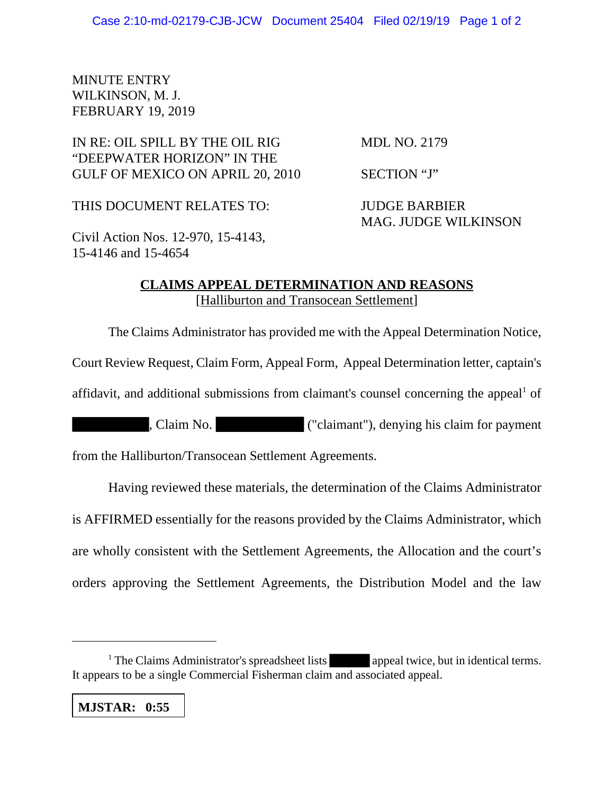## MINUTE ENTRY WILKINSON, M. J. FEBRUARY 19, 2019

## IN RE: OIL SPILL BY THE OIL RIG MDL NO. 2179 "DEEPWATER HORIZON" IN THE GULF OF MEXICO ON APRIL 20, 2010 SECTION "J"

THIS DOCUMENT RELATES TO: JUDGE BARBIER

MAG. JUDGE WILKINSON

Civil Action Nos. 12-970, 15-4143, 15-4146 and 15-4654

## **CLAIMS APPEAL DETERMINATION AND REASONS** [Halliburton and Transocean Settlement]

The Claims Administrator has provided me with the Appeal Determination Notice,

Court Review Request, Claim Form, Appeal Form, Appeal Determination letter, captain's

affidavit, and additional submissions from claimant's counsel concerning the appeal<sup>1</sup> of

, Claim No. ("claimant"), denying his claim for payment

from the Halliburton/Transocean Settlement Agreements.

Having reviewed these materials, the determination of the Claims Administrator is AFFIRMED essentially for the reasons provided by the Claims Administrator, which are wholly consistent with the Settlement Agreements, the Allocation and the court's orders approving the Settlement Agreements, the Distribution Model and the law

**MJSTAR: 0:55**

<sup>&</sup>lt;sup>1</sup> The Claims Administrator's spreadsheet lists appeal twice, but in identical terms. It appears to be a single Commercial Fisherman claim and associated appeal.